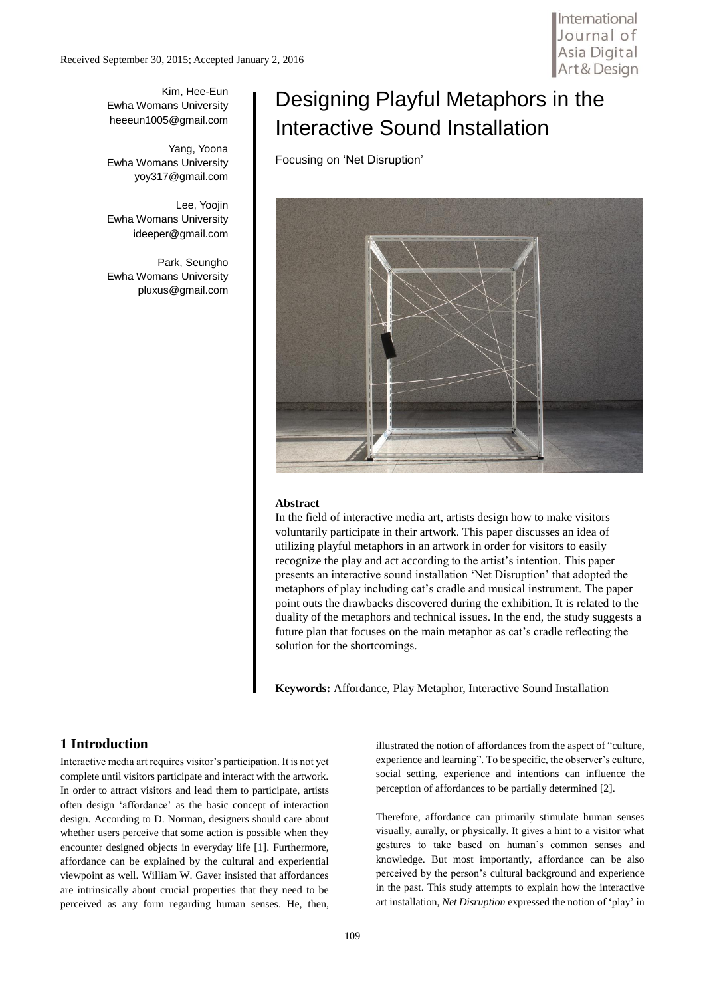Kim, Hee-Eun Ewha Womans University heeeun1005@gmail.com

Yang, Yoona Ewha Womans University yoy317@gmail.com

Lee, Yoojin Ewha Womans University ideeper@gmail.com

Park, Seungho Ewha Womans University pluxus@gmail.com

# Designing Playful Metaphors in the Interactive Sound Installation

Focusing on 'Net Disruption'



#### **Abstract**

In the field of interactive media art, artists design how to make visitors voluntarily participate in their artwork. This paper discusses an idea of utilizing playful metaphors in an artwork in order for visitors to easily recognize the play and act according to the artist's intention. This paper presents an interactive sound installation 'Net Disruption' that adopted the metaphors of play including cat's cradle and musical instrument. The paper point outs the drawbacks discovered during the exhibition. It is related to the duality of the metaphors and technical issues. In the end, the study suggests a future plan that focuses on the main metaphor as cat's cradle reflecting the solution for the shortcomings.

**Keywords:** Affordance, Play Metaphor, Interactive Sound Installation

### **1 Introduction**

Interactive media art requires visitor's participation. It is not yet complete until visitors participate and interact with the artwork. In order to attract visitors and lead them to participate, artists often design 'affordance' as the basic concept of interaction design. According to D. Norman, designers should care about whether users perceive that some action is possible when they encounter designed objects in everyday life [1]. Furthermore, affordance can be explained by the cultural and experiential viewpoint as well. William W. Gaver insisted that affordances are intrinsically about crucial properties that they need to be perceived as any form regarding human senses. He, then,

illustrated the notion of affordances from the aspect of "culture, experience and learning". To be specific, the observer's culture, social setting, experience and intentions can influence the perception of affordances to be partially determined [2].

Therefore, affordance can primarily stimulate human senses visually, aurally, or physically. It gives a hint to a visitor what gestures to take based on human's common senses and knowledge. But most importantly, affordance can be also perceived by the person's cultural background and experience in the past. This study attempts to explain how the interactive art installation, *Net Disruption* expressed the notion of 'play' in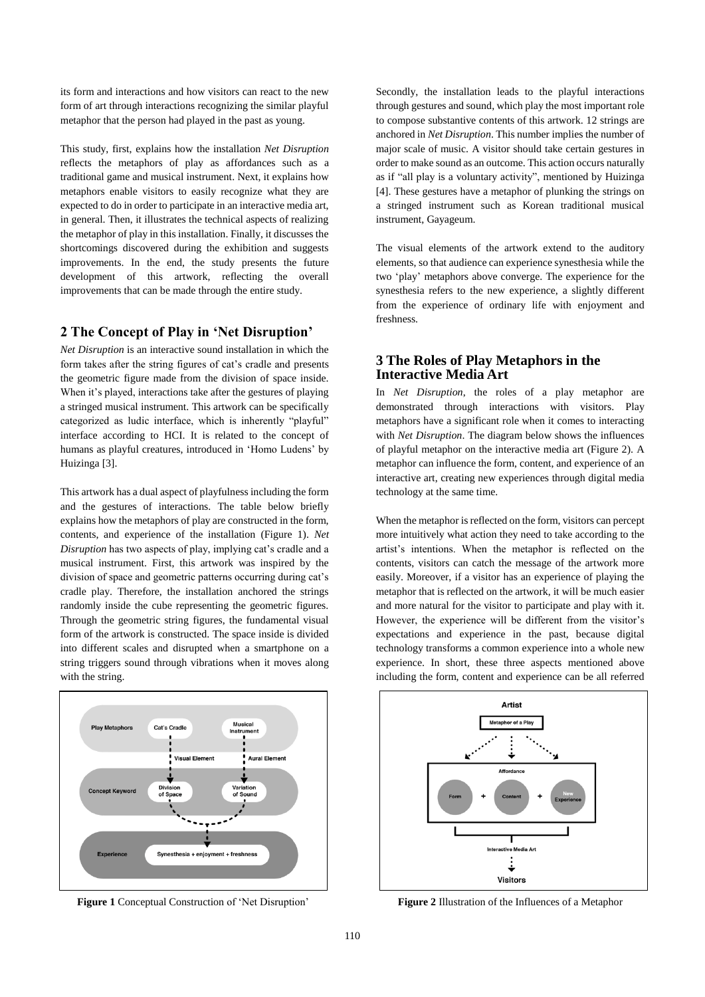its form and interactions and how visitors can react to the new form of art through interactions recognizing the similar playful metaphor that the person had played in the past as young.

This study, first, explains how the installation *Net Disruption* reflects the metaphors of play as affordances such as a traditional game and musical instrument. Next, it explains how metaphors enable visitors to easily recognize what they are expected to do in order to participate in an interactive media art, in general. Then, it illustrates the technical aspects of realizing the metaphor of play in this installation. Finally, it discusses the shortcomings discovered during the exhibition and suggests improvements. In the end, the study presents the future development of this artwork, reflecting the overall improvements that can be made through the entire study.

#### **2 The Concept of Play in 'Net Disruption'**

*Net Disruption* is an interactive sound installation in which the form takes after the string figures of cat's cradle and presents the geometric figure made from the division of space inside. When it's played, interactions take after the gestures of playing a stringed musical instrument. This artwork can be specifically categorized as ludic interface, which is inherently "playful" interface according to HCI. It is related to the concept of humans as playful creatures, introduced in 'Homo Ludens' by Huizinga [3].

This artwork has a dual aspect of playfulness including the form and the gestures of interactions. The table below briefly explains how the metaphors of play are constructed in the form, contents, and experience of the installation (Figure 1). *Net Disruption* has two aspects of play, implying cat's cradle and a musical instrument. First, this artwork was inspired by the division of space and geometric patterns occurring during cat's cradle play. Therefore, the installation anchored the strings randomly inside the cube representing the geometric figures. Through the geometric string figures, the fundamental visual form of the artwork is constructed. The space inside is divided into different scales and disrupted when a smartphone on a string triggers sound through vibrations when it moves along with the string.



Secondly, the installation leads to the playful interactions through gestures and sound, which play the most important role to compose substantive contents of this artwork. 12 strings are anchored in *Net Disruption*. This number implies the number of major scale of music. A visitor should take certain gestures in order to make sound as an outcome. This action occurs naturally as if "all play is a voluntary activity", mentioned by Huizinga [4]. These gestures have a metaphor of plunking the strings on a stringed instrument such as Korean traditional musical instrument, Gayageum.

The visual elements of the artwork extend to the auditory elements, so that audience can experience synesthesia while the two 'play' metaphors above converge. The experience for the synesthesia refers to the new experience, a slightly different from the experience of ordinary life with enjoyment and freshness.

#### **3 The Roles of Play Metaphors in the Interactive Media Art**

In *Net Disruption*, the roles of a play metaphor are demonstrated through interactions with visitors. Play metaphors have a significant role when it comes to interacting with *Net Disruption*. The diagram below shows the influences of playful metaphor on the interactive media art (Figure 2). A metaphor can influence the form, content, and experience of an interactive art, creating new experiences through digital media technology at the same time.

When the metaphor is reflected on the form, visitors can percept more intuitively what action they need to take according to the artist's intentions. When the metaphor is reflected on the contents, visitors can catch the message of the artwork more easily. Moreover, if a visitor has an experience of playing the metaphor that is reflected on the artwork, it will be much easier and more natural for the visitor to participate and play with it. However, the experience will be different from the visitor's expectations and experience in the past, because digital technology transforms a common experience into a whole new experience. In short, these three aspects mentioned above including the form, content and experience can be all referred



**Figure** 1 Conceptual Construction of 'Net Disruption' **Figure** 2 Illustration of the Influences of a Metaphor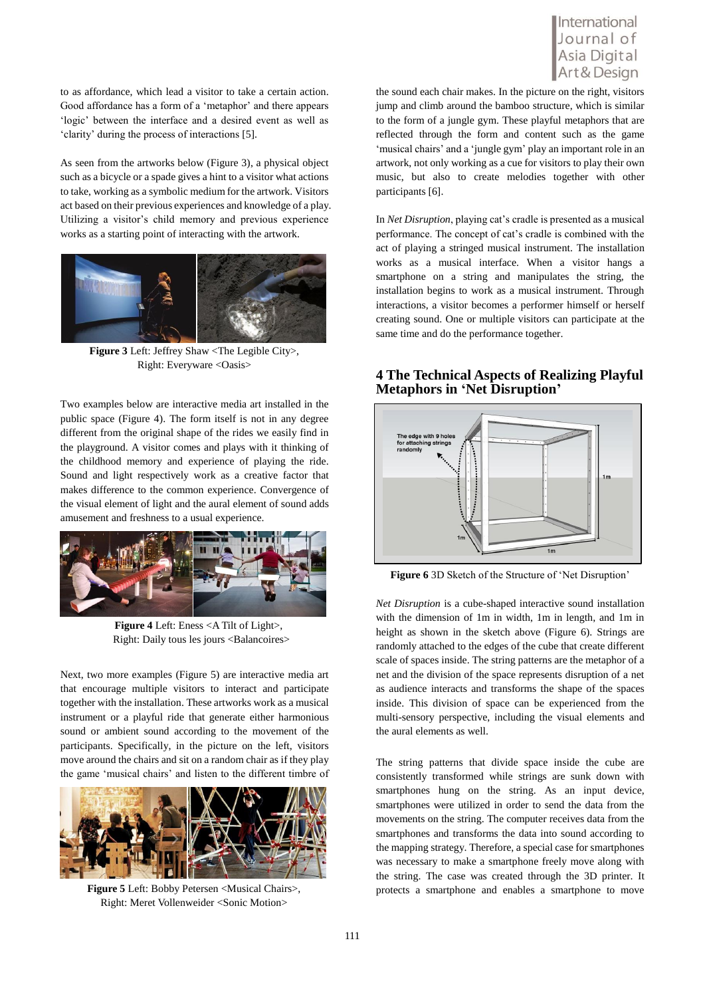to as affordance, which lead a visitor to take a certain action. Good affordance has a form of a 'metaphor' and there appears 'logic' between the interface and a desired event as well as 'clarity' during the process of interactions [5].

As seen from the artworks below (Figure 3), a physical object such as a bicycle or a spade gives a hint to a visitor what actions to take, working as a symbolic medium for the artwork. Visitors act based on their previous experiences and knowledge of a play. Utilizing a visitor's child memory and previous experience works as a starting point of interacting with the artwork.



**Figure 3** Left: Jeffrey Shaw <The Legible City>, Right: Everyware <Oasis>

Two examples below are interactive media art installed in the public space (Figure 4). The form itself is not in any degree different from the original shape of the rides we easily find in the playground. A visitor comes and plays with it thinking of the childhood memory and experience of playing the ride. Sound and light respectively work as a creative factor that makes difference to the common experience. Convergence of the visual element of light and the aural element of sound adds amusement and freshness to a usual experience.



**Figure 4** Left: Eness <A Tilt of Light>, Right: Daily tous les jours <Balancoires>

Next, two more examples (Figure 5) are interactive media art that encourage multiple visitors to interact and participate together with the installation. These artworks work as a musical instrument or a playful ride that generate either harmonious sound or ambient sound according to the movement of the participants. Specifically, in the picture on the left, visitors move around the chairs and sit on a random chair as if they play the game 'musical chairs' and listen to the different timbre of



**Figure 5** Left: Bobby Petersen <Musical Chairs>, Right: Meret Vollenweider <Sonic Motion>

## International Journal of Asia Digital

the sound each chair makes. In the picture on the right, visitors jump and climb around the bamboo structure, which is similar to the form of a jungle gym. These playful metaphors that are reflected through the form and content such as the game 'musical chairs' and a 'jungle gym' play an important role in an artwork, not only working as a cue for visitors to play their own music, but also to create melodies together with other participants [6].

In *Net Disruption*, playing cat's cradle is presented as a musical performance. The concept of cat's cradle is combined with the act of playing a stringed musical instrument. The installation works as a musical interface. When a visitor hangs a smartphone on a string and manipulates the string, the installation begins to work as a musical instrument. Through interactions, a visitor becomes a performer himself or herself creating sound. One or multiple visitors can participate at the same time and do the performance together.

#### **4 The Technical Aspects of Realizing Playful Metaphors in 'Net Disruption'**



**Figure 6** 3D Sketch of the Structure of 'Net Disruption'

*Net Disruption* is a cube-shaped interactive sound installation with the dimension of 1m in width, 1m in length, and 1m in height as shown in the sketch above (Figure 6). Strings are randomly attached to the edges of the cube that create different scale of spaces inside. The string patterns are the metaphor of a net and the division of the space represents disruption of a net as audience interacts and transforms the shape of the spaces inside. This division of space can be experienced from the multi-sensory perspective, including the visual elements and the aural elements as well.

The string patterns that divide space inside the cube are consistently transformed while strings are sunk down with smartphones hung on the string. As an input device, smartphones were utilized in order to send the data from the movements on the string. The computer receives data from the smartphones and transforms the data into sound according to the mapping strategy. Therefore, a special case for smartphones was necessary to make a smartphone freely move along with the string. The case was created through the 3D printer. It protects a smartphone and enables a smartphone to move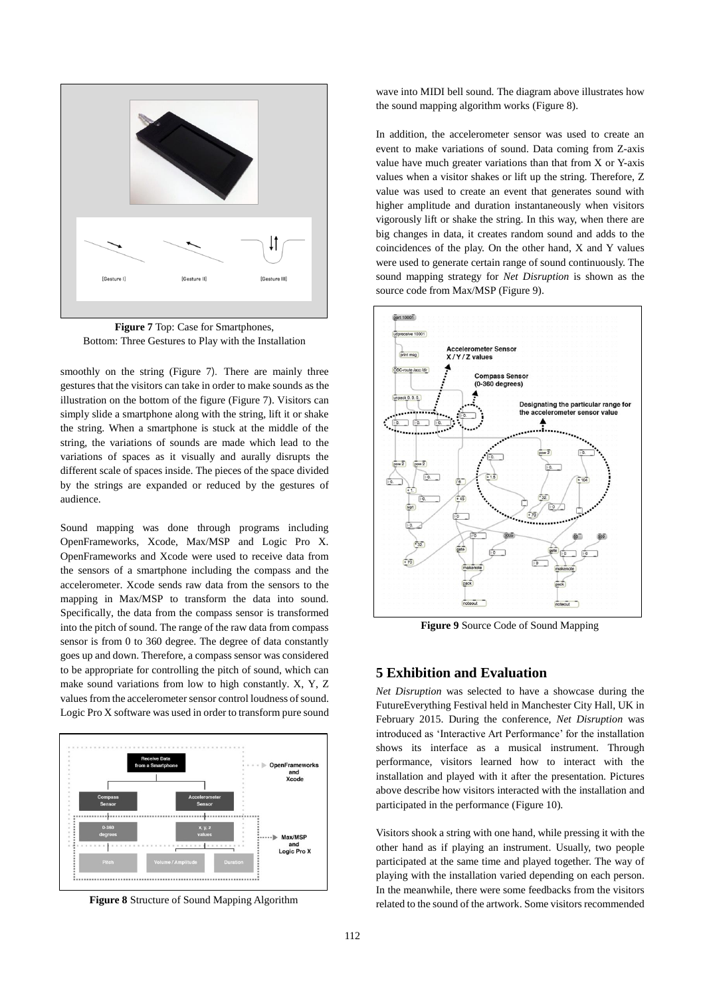

**Figure 7** Top: Case for Smartphones, Bottom: Three Gestures to Play with the Installation

smoothly on the string (Figure 7). There are mainly three gestures that the visitors can take in order to make sounds as the illustration on the bottom of the figure (Figure 7). Visitors can simply slide a smartphone along with the string, lift it or shake the string. When a smartphone is stuck at the middle of the string, the variations of sounds are made which lead to the variations of spaces as it visually and aurally disrupts the different scale of spaces inside. The pieces of the space divided by the strings are expanded or reduced by the gestures of audience.

Sound mapping was done through programs including OpenFrameworks, Xcode, Max/MSP and Logic Pro X. OpenFrameworks and Xcode were used to receive data from the sensors of a smartphone including the compass and the accelerometer. Xcode sends raw data from the sensors to the mapping in Max/MSP to transform the data into sound. Specifically, the data from the compass sensor is transformed into the pitch of sound. The range of the raw data from compass sensor is from 0 to 360 degree. The degree of data constantly goes up and down. Therefore, a compass sensor was considered to be appropriate for controlling the pitch of sound, which can make sound variations from low to high constantly. X, Y, Z values from the accelerometer sensor control loudness of sound. Logic Pro X software was used in order to transform pure sound



wave into MIDI bell sound. The diagram above illustrates how the sound mapping algorithm works (Figure 8).

In addition, the accelerometer sensor was used to create an event to make variations of sound. Data coming from Z-axis value have much greater variations than that from X or Y-axis values when a visitor shakes or lift up the string. Therefore, Z value was used to create an event that generates sound with higher amplitude and duration instantaneously when visitors vigorously lift or shake the string. In this way, when there are big changes in data, it creates random sound and adds to the coincidences of the play. On the other hand, X and Y values were used to generate certain range of sound continuously. The sound mapping strategy for *Net Disruption* is shown as the source code from Max/MSP (Figure 9).



**Figure 9** Source Code of Sound Mapping

### **5 Exhibition and Evaluation**

*Net Disruption* was selected to have a showcase during the FutureEverything Festival held in Manchester City Hall, UK in February 2015. During the conference, *Net Disruption* was introduced as 'Interactive Art Performance' for the installation shows its interface as a musical instrument. Through performance, visitors learned how to interact with the installation and played with it after the presentation. Pictures above describe how visitors interacted with the installation and participated in the performance (Figure 10).

Visitors shook a string with one hand, while pressing it with the other hand as if playing an instrument. Usually, two people participated at the same time and played together. The way of playing with the installation varied depending on each person. In the meanwhile, there were some feedbacks from the visitors **Figure 8** Structure of Sound Mapping Algorithm related to the sound of the artwork. Some visitors recommended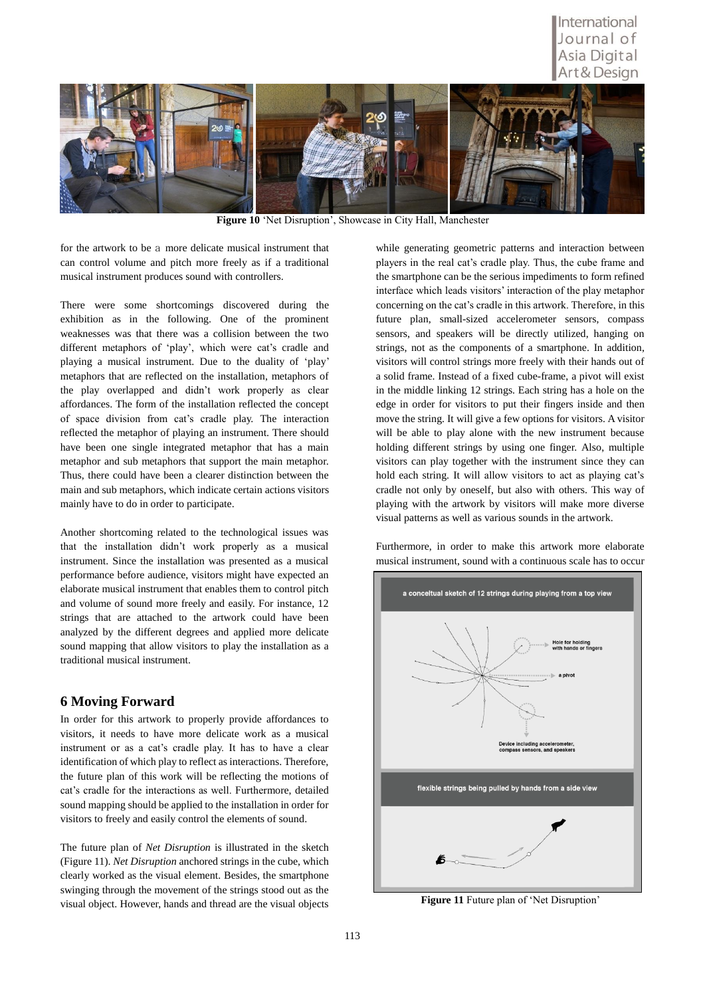### International Journal of Asia Digital Art & Desian



**Figure 10** 'Net Disruption', Showcase in City Hall, Manchester

for the artwork to be a more delicate musical instrument that can control volume and pitch more freely as if a traditional musical instrument produces sound with controllers.

There were some shortcomings discovered during the exhibition as in the following. One of the prominent weaknesses was that there was a collision between the two different metaphors of 'play', which were cat's cradle and playing a musical instrument. Due to the duality of 'play' metaphors that are reflected on the installation, metaphors of the play overlapped and didn't work properly as clear affordances. The form of the installation reflected the concept of space division from cat's cradle play. The interaction reflected the metaphor of playing an instrument. There should have been one single integrated metaphor that has a main metaphor and sub metaphors that support the main metaphor. Thus, there could have been a clearer distinction between the main and sub metaphors, which indicate certain actions visitors mainly have to do in order to participate.

Another shortcoming related to the technological issues was that the installation didn't work properly as a musical instrument. Since the installation was presented as a musical performance before audience, visitors might have expected an elaborate musical instrument that enables them to control pitch and volume of sound more freely and easily. For instance, 12 strings that are attached to the artwork could have been analyzed by the different degrees and applied more delicate sound mapping that allow visitors to play the installation as a traditional musical instrument.

#### **6 Moving Forward**

In order for this artwork to properly provide affordances to visitors, it needs to have more delicate work as a musical instrument or as a cat's cradle play. It has to have a clear identification of which play to reflect as interactions. Therefore, the future plan of this work will be reflecting the motions of cat's cradle for the interactions as well. Furthermore, detailed sound mapping should be applied to the installation in order for visitors to freely and easily control the elements of sound.

The future plan of *Net Disruption* is illustrated in the sketch (Figure 11). *Net Disruption* anchored strings in the cube, which clearly worked as the visual element. Besides, the smartphone swinging through the movement of the strings stood out as the visual object. However, hands and thread are the visual objects while generating geometric patterns and interaction between players in the real cat's cradle play. Thus, the cube frame and the smartphone can be the serious impediments to form refined interface which leads visitors' interaction of the play metaphor concerning on the cat's cradle in this artwork. Therefore, in this future plan, small-sized accelerometer sensors, compass sensors, and speakers will be directly utilized, hanging on strings, not as the components of a smartphone. In addition, visitors will control strings more freely with their hands out of a solid frame. Instead of a fixed cube-frame, a pivot will exist in the middle linking 12 strings. Each string has a hole on the edge in order for visitors to put their fingers inside and then move the string. It will give a few options for visitors. A visitor will be able to play alone with the new instrument because holding different strings by using one finger. Also, multiple visitors can play together with the instrument since they can hold each string. It will allow visitors to act as playing cat's cradle not only by oneself, but also with others. This way of playing with the artwork by visitors will make more diverse visual patterns as well as various sounds in the artwork.

Furthermore, in order to make this artwork more elaborate musical instrument, sound with a continuous scale has to occur



**Figure 11** Future plan of 'Net Disruption'